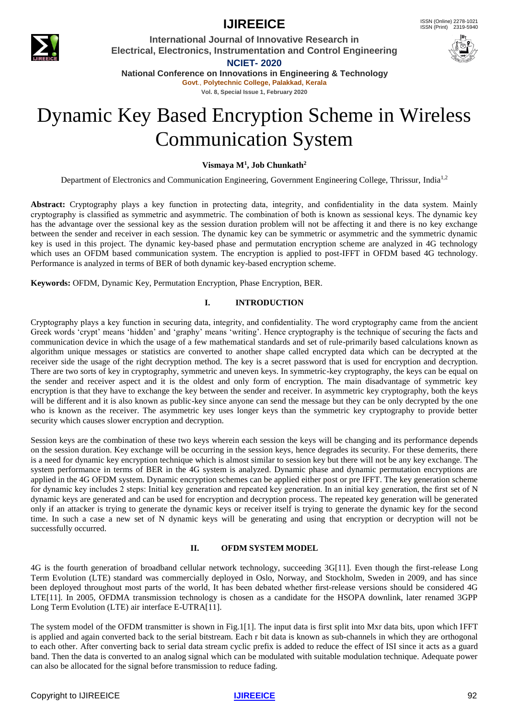

# **IJIREEICE ISSN** (Online) 2278-1021

**International Journal of Innovative Research in Electrical, Electronics, Instrumentation and Control Engineering NCIET- 2020**



**National Conference on Innovations in Engineering & Technology Govt**., **Polytechnic College, Palakkad, Kerala**

**Vol. 8, Special Issue 1, February 2020**

# Dynamic Key Based Encryption Scheme in Wireless Communication System

**Vismaya M<sup>1</sup> , Job Chunkath<sup>2</sup>**

Department of Electronics and Communication Engineering, Government Engineering College, Thrissur, India<sup>1,2</sup>

**Abstract:** Cryptography plays a key function in protecting data, integrity, and confidentiality in the data system. Mainly cryptography is classified as symmetric and asymmetric. The combination of both is known as sessional keys. The dynamic key has the advantage over the sessional key as the session duration problem will not be affecting it and there is no key exchange between the sender and receiver in each session. The dynamic key can be symmetric or asymmetric and the symmetric dynamic key is used in this project. The dynamic key-based phase and permutation encryption scheme are analyzed in 4G technology which uses an OFDM based communication system. The encryption is applied to post-IFFT in OFDM based 4G technology. Performance is analyzed in terms of BER of both dynamic key-based encryption scheme.

**Keywords:** OFDM, Dynamic Key, Permutation Encryption, Phase Encryption, BER.

# **I. INTRODUCTION**

Cryptography plays a key function in securing data, integrity, and confidentiality. The word cryptography came from the ancient Greek words 'crypt' means 'hidden' and 'graphy' means 'writing'. Hence cryptography is the technique of securing the facts and communication device in which the usage of a few mathematical standards and set of rule-primarily based calculations known as algorithm unique messages or statistics are converted to another shape called encrypted data which can be decrypted at the receiver side the usage of the right decryption method. The key is a secret password that is used for encryption and decryption. There are two sorts of key in cryptography, symmetric and uneven keys. In symmetric-key cryptography, the keys can be equal on the sender and receiver aspect and it is the oldest and only form of encryption. The main disadvantage of symmetric key encryption is that they have to exchange the key between the sender and receiver. In asymmetric key cryptography, both the keys will be different and it is also known as public-key since anyone can send the message but they can be only decrypted by the one who is known as the receiver. The asymmetric key uses longer keys than the symmetric key cryptography to provide better security which causes slower encryption and decryption.

Session keys are the combination of these two keys wherein each session the keys will be changing and its performance depends on the session duration. Key exchange will be occurring in the session keys, hence degrades its security. For these demerits, there is a need for dynamic key encryption technique which is almost similar to session key but there will not be any key exchange. The system performance in terms of BER in the 4G system is analyzed. Dynamic phase and dynamic permutation encryptions are applied in the 4G OFDM system. Dynamic encryption schemes can be applied either post or pre IFFT. The key generation scheme for dynamic key includes 2 steps: Initial key generation and repeated key generation. In an initial key generation, the first set of N dynamic keys are generated and can be used for encryption and decryption process. The repeated key generation will be generated only if an attacker is trying to generate the dynamic keys or receiver itself is trying to generate the dynamic key for the second time. In such a case a new set of N dynamic keys will be generating and using that encryption or decryption will not be successfully occurred.

### **II. OFDM SYSTEM MODEL**

4G is the fourth generation of broadband cellular network technology, succeeding 3G[11]. Even though the first-release Long Term Evolution (LTE) standard was commercially deployed in Oslo, Norway, and Stockholm, Sweden in 2009, and has since been deployed throughout most parts of the world, It has been debated whether first-release versions should be considered 4G LTE[11]. In 2005, OFDMA transmission technology is chosen as a candidate for the HSOPA downlink, later renamed 3GPP Long Term Evolution (LTE) air interface E-UTRA[11].

The system model of the OFDM transmitter is shown in Fig.1[1]. The input data is first split into Mxr data bits, upon which IFFT is applied and again converted back to the serial bitstream. Each r bit data is known as sub-channels in which they are orthogonal to each other. After converting back to serial data stream cyclic prefix is added to reduce the effect of ISI since it acts as a guard band. Then the data is converted to an analog signal which can be modulated with suitable modulation technique. Adequate power can also be allocated for the signal before transmission to reduce fading.

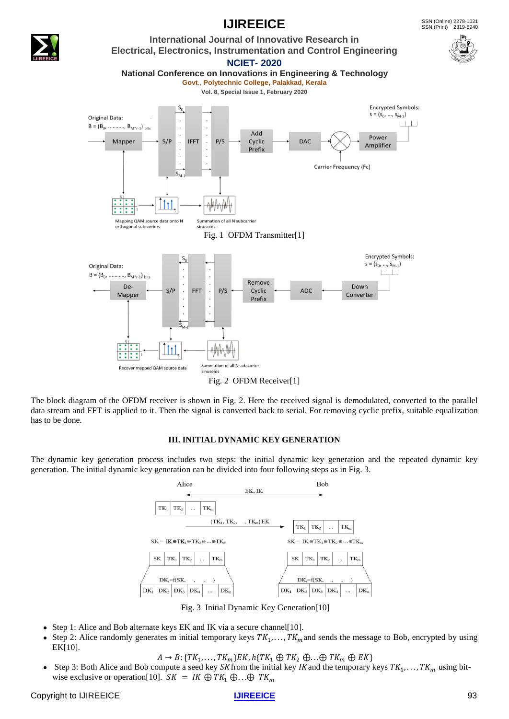

The block diagram of the OFDM receiver is shown in Fig. 2. Here the received signal is demodulated, converted to the parallel data stream and FFT is applied to it. Then the signal is converted back to serial. For removing cyclic prefix, suitable equalization has to be done.

### **III. INITIAL DYNAMIC KEY GENERATION**

The dynamic key generation process includes two steps: the initial dynamic key generation and the repeated dynamic key generation. The initial dynamic key generation can be divided into four following steps as in Fig. 3.



Fig. 3 Initial Dynamic Key Generation[10]

- Step 1: Alice and Bob alternate keys EK and IK via a secure channel [10].
- Step 2: Alice randomly generates m initial temporary keys  $TK_1, \ldots, TK_m$  and sends the message to Bob, encrypted by using EK[10].
	- $A \rightarrow B: \{TK_1, \ldots, TK_m\} EK, h\{TK_1 \oplus TK_2 \oplus \ldots \oplus TK_m \oplus EK\}$
- Step 3: Both Alice and Bob compute a seed key SK from the initial key IK and the temporary keys  $TK_1, \ldots, TK_m$  using bitwise exclusive or operation[10].  $SK = IK \oplus TK_1 \oplus \ldots \oplus TK_m$

# **IJIREEICE ISSN** (Online) 2278-1021



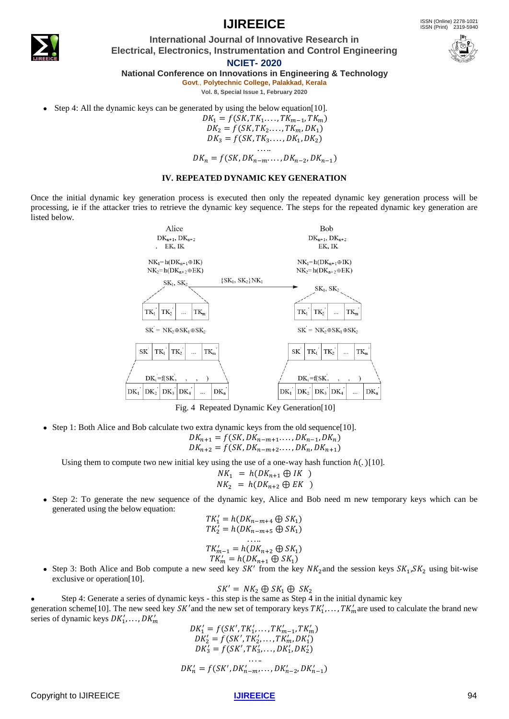

# **IJIREEICE ISSN** (Online) 2278-1021

**International Journal of Innovative Research in Electrical, Electronics, Instrumentation and Control Engineering**

**NCIET- 2020**

**National Conference on Innovations in Engineering & Technology**

**Govt**., **Polytechnic College, Palakkad, Kerala Vol. 8, Special Issue 1, February 2020**

Step 4: All the dynamic keys can be generated by using the below equation [10].

 $DK_1 = f(SK, TK_1, \ldots, TK_{m-1}, TK_m)$  $DK_2 = f(SK, TK_2, \ldots, TK_m, DK_1)$  $DK_3 = f(SK, TK_3...,DK_1, DK_2)$ 

. . . ..  $DK_n = f(SK, DK_{n-m}, \ldots, DK_{n-2}, DK_{n-1})$ 

#### **IV. REPEATED DYNAMIC KEY GENERATION**

Once the initial dynamic key generation process is executed then only the repeated dynamic key generation process will be processing, ie if the attacker tries to retrieve the dynamic key sequence. The steps for the repeated dynamic key generation are listed below.



Fig. 4 Repeated Dynamic Key Generation[10]

• Step 1: Both Alice and Bob calculate two extra dynamic keys from the old sequence[10].

$$
DK_{n+1} = f(SK, DK_{n-m+1}, \ldots, DK_{n-1}, DK_n)
$$
  

$$
DK_{n+2} = f(SK, DK_{n-m+2}, \ldots, DK_n, DK_{n+1})
$$

Using them to compute two new initial key using the use of a one-way hash function  $h(.)$ [10].

$$
NK_1 = h(DK_{n+1} \oplus IK)
$$
  

$$
NK_2 = h(DK_{n+2} \oplus EK)
$$

● Step 2: To generate the new sequence of the dynamic key, Alice and Bob need m new temporary keys which can be generated using the below equation:

$$
TK'_1 = h(DK_{n-m+4} \oplus SK_1)
$$
  
\n
$$
TK'_2 = h(DK_{n-m+5} \oplus SK_1)
$$
  
\n...  
\n
$$
TK'_{m-1} = h(DK_{n+2} \oplus SK_1)
$$
  
\n
$$
TK'_m = h(DK_{n+1} \oplus SK_1)
$$

• Step 3: Both Alice and Bob compute a new seed key  $SK'$  from the key  $NK_2$  and the session keys  $SK_1, SK_2$  using bit-wise exclusive or operation[10].

$$
SK' = NK_2 \oplus SK_1 \oplus SK_2
$$

Step 4: Generate a series of dynamic keys - this step is the same as Step 4 in the initial dynamic key

generation scheme[10]. The new seed key SK' and the new set of temporary keys  $TK'_1, \ldots, TK'_m$  are used to calculate the brand new series of dynamic keys  $DK'_1, \ldots, DK'_m$ 

$$
DK'_{1} = f(SK', TK'_{1},...,TK'_{m-1}, TK'_{m})
$$
  
\n
$$
DK'_{2} = f(SK', TK'_{2},...,TK'_{m}, DK'_{1})
$$
  
\n
$$
DK'_{3} = f(SK', TK'_{3},...,DK'_{1}, DK'_{2})
$$
  
\n...  
\n
$$
DK'_{n} = f(SK',DK'_{n-m},...,DK'_{n-2},DK'_{n-1})
$$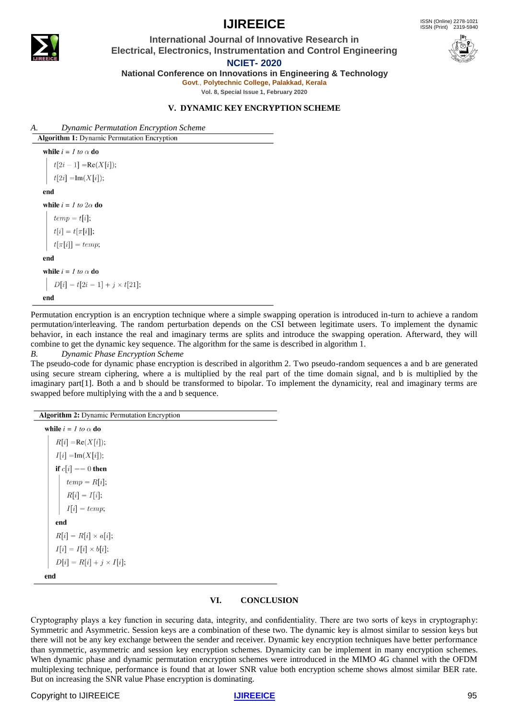**IJIREEICE** ISSN (Online)  $2278-1021$ ISSN (Print) 2319-5940



# **International Journal of Innovative Research in Electrical, Electronics, Instrumentation and Control Engineering**



**NCIET- 2020**

**National Conference on Innovations in Engineering & Technology**

**Govt**., **Polytechnic College, Palakkad, Kerala**

**Vol. 8, Special Issue 1, February 2020**

# **V. DYNAMIC KEY ENCRYPTION SCHEME**

*A. Dynamic Permutation Encryption Scheme* **Algorithm 1:** Dynamic Permutation Encryption

while  $i = I$  to  $\alpha$  do

 $t[2i-1] = \text{Re}(X[i]);$ 

 $t[2i] = \text{Im}(X[i]);$ 

#### end

while  $i = 1$  to  $2\alpha$  do

 $temp = t[i];$  $t[i] = t[\pi[i]];$ 

 $t[\pi[i]] = temp;$ 

end

while  $i = 1$  to  $\alpha$  do

 $D[i] = t[2i = 1] + j \times t[21];$ end

Permutation encryption is an encryption technique where a simple swapping operation is introduced in-turn to achieve a random permutation/interleaving. The random perturbation depends on the CSI between legitimate users. To implement the dynamic behavior, in each instance the real and imaginary terms are splits and introduce the swapping operation. Afterward, they will combine to get the dynamic key sequence. The algorithm for the same is described in algorithm 1.

### *B. Dynamic Phase Encryption Scheme*

The pseudo-code for dynamic phase encryption is described in algorithm 2. Two pseudo-random sequences a and b are generated using secure stream ciphering, where a is multiplied by the real part of the time domain signal, and b is multiplied by the imaginary part[1]. Both a and b should be transformed to bipolar. To implement the dynamicity, real and imaginary terms are swapped before multiplying with the a and b sequence.

| <b>Algorithm 2:</b> Dynamic Permutation Encryption |
|----------------------------------------------------|
| while $i = 1$ to $\alpha$ do                       |
| $R[i] = \text{Re}(X[i]);$                          |
| $I[i] = \text{Im}(X[i]);$                          |
| if $c[i] == 0$ then                                |
| $temp = R[i];$                                     |
| $R[i] = I[i];$                                     |
| $I[i] = temp;$                                     |
| end                                                |
| $R[i] = R[i] \times a[i];$                         |
| $I[i] = I[i] \times b[i];$                         |
| $D[i] = R[i] + j \times I[i];$                     |
| end                                                |

# **VI. CONCLUSION**

Cryptography plays a key function in securing data, integrity, and confidentiality. There are two sorts of keys in cryptography: Symmetric and Asymmetric. Session keys are a combination of these two. The dynamic key is almost similar to session keys but there will not be any key exchange between the sender and receiver. Dynamic key encryption techniques have better performance than symmetric, asymmetric and session key encryption schemes. Dynamicity can be implement in many encryption schemes. When dynamic phase and dynamic permutation encryption schemes were introduced in the MIMO 4G channel with the OFDM multiplexing technique, performance is found that at lower SNR value both encryption scheme shows almost similar BER rate. But on increasing the SNR value Phase encryption is dominating.